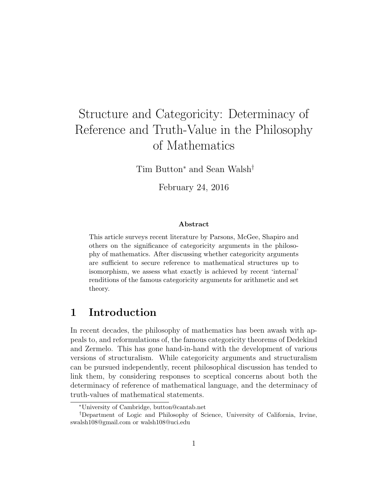# Structure and Categoricity: Determinacy of Reference and Truth-Value in the Philosophy of Mathematics

Tim Button<sup>∗</sup> and Sean Walsh†

February 24, 2016

#### Abstract

This article surveys recent literature by Parsons, McGee, Shapiro and others on the significance of categoricity arguments in the philosophy of mathematics. After discussing whether categoricity arguments are sufficient to secure reference to mathematical structures up to isomorphism, we assess what exactly is achieved by recent 'internal' renditions of the famous categoricity arguments for arithmetic and set theory.

# 1 Introduction

In recent decades, the philosophy of mathematics has been awash with appeals to, and reformulations of, the famous categoricity theorems of Dedekind and Zermelo. This has gone hand-in-hand with the development of various versions of structuralism. While categoricity arguments and structuralism can be pursued independently, recent philosophical discussion has tended to link them, by considering responses to sceptical concerns about both the determinacy of reference of mathematical language, and the determinacy of truth-values of mathematical statements.

<sup>∗</sup>University of Cambridge, button@cantab.net

<sup>†</sup>Department of Logic and Philosophy of Science, University of California, Irvine, swalsh108@gmail.com or walsh108@uci.edu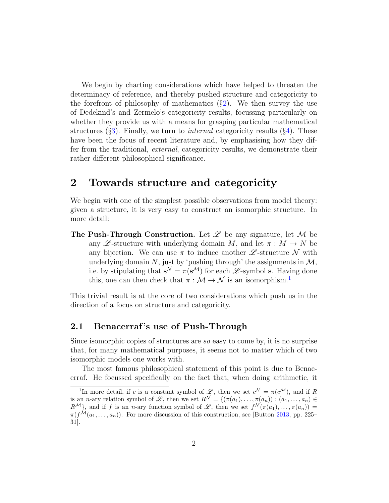We begin by charting considerations which have helped to threaten the determinacy of reference, and thereby pushed structure and categoricity to the forefront of philosophy of mathematics  $(\S 2)$  $(\S 2)$ . We then survey the use of Dedekind's and Zermelo's categoricity results, focussing particularly on whether they provide us with a means for grasping particular mathematical structures  $(\S 3)$  $(\S 3)$ . Finally, we turn to *internal* categoricity results  $(\S 4)$  $(\S 4)$ . These have been the focus of recent literature and, by emphasising how they differ from the traditional, external, categoricity results, we demonstrate their rather different philosophical significance.

# <span id="page-1-0"></span>2 Towards structure and categoricity

We begin with one of the simplest possible observations from model theory: given a structure, it is very easy to construct an isomorphic structure. In more detail:

The Push-Through Construction. Let  $\mathscr L$  be any signature, let  $\mathcal M$  be any  $\mathscr{L}$ -structure with underlying domain M, and let  $\pi : M \to N$  be any bijection. We can use  $\pi$  to induce another  $\mathscr{L}$ -structure N with underlying domain N, just by 'pushing through' the assignments in  $\mathcal{M}$ , i.e. by stipulating that  $s^{\mathcal{N}} = \pi(s^{\mathcal{M}})$  for each  $\mathcal{L}$ -symbol s. Having done this, one can then check that  $\pi : \mathcal{M} \to \mathcal{N}$  is an isomorphism.<sup>[1](#page-1-1)</sup>

This trivial result is at the core of two considerations which push us in the direction of a focus on structure and categoricity.

### <span id="page-1-2"></span>2.1 Benacerraf's use of Push-Through

Since isomorphic copies of structures are so easy to come by, it is no surprise that, for many mathematical purposes, it seems not to matter which of two isomorphic models one works with.

The most famous philosophical statement of this point is due to Benacerraf. He focussed specifically on the fact that, when doing arithmetic, it

<span id="page-1-1"></span><sup>&</sup>lt;sup>1</sup>In more detail, if c is a constant symbol of  $\mathscr{L}$ , then we set  $c^{\mathcal{N}} = \pi(c^{\mathcal{M}})$ , and if R is an *n*-ary relation symbol of L, then we set  $R^{\mathcal{N}} = \{(\pi(a_1), \ldots, \pi(a_n)) : (a_1, \ldots, a_n) \in$  $R^{\mathcal{M}}\}$ , and if f is an n-ary function symbol of  $\mathscr{L}$ , then we set  $f^{\mathcal{N}}(\pi(a_1),\ldots,\pi(a_n))=$  $\pi(f^{\mathcal{M}}(a_1, \ldots, a_n)).$  For more discussion of this construction, see [Button [2013,](#page-27-0) pp. 225– 31].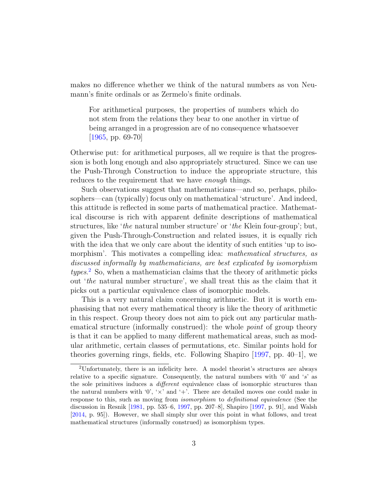makes no difference whether we think of the natural numbers as von Neumann's finite ordinals or as Zermelo's finite ordinals.

For arithmetical purposes, the properties of numbers which do not stem from the relations they bear to one another in virtue of being arranged in a progression are of no consequence whatsoever [\[1965,](#page-27-1) pp. 69-70]

Otherwise put: for arithmetical purposes, all we require is that the progression is both long enough and also appropriately structured. Since we can use the Push-Through Construction to induce the appropriate structure, this reduces to the requirement that we have *enough* things.

Such observations suggest that mathematicians—and so, perhaps, philosophers—can (typically) focus only on mathematical 'structure'. And indeed, this attitude is reflected in some parts of mathematical practice. Mathematical discourse is rich with apparent definite descriptions of mathematical structures, like 'the natural number structure' or 'the Klein four-group'; but, given the Push-Through-Construction and related issues, it is equally rich with the idea that we only care about the identity of such entities 'up to isomorphism'. This motivates a compelling idea: *mathematical structures*, as discussed informally by mathematicians, are best explicated by isomorphism types.<sup>[2](#page-2-0)</sup> So, when a mathematician claims that the theory of arithmetic picks out 'the natural number structure', we shall treat this as the claim that it picks out a particular equivalence class of isomorphic models.

This is a very natural claim concerning arithmetic. But it is worth emphasising that not every mathematical theory is like the theory of arithmetic in this respect. Group theory does not aim to pick out any particular mathematical structure (informally construed): the whole *point* of group theory is that it can be applied to many different mathematical areas, such as modular arithmetic, certain classes of permutations, etc. Similar points hold for theories governing rings, fields, etc. Following Shapiro [\[1997,](#page-31-0) pp. 40–1], we

<span id="page-2-0"></span><sup>2</sup>Unfortunately, there is an infelicity here. A model theorist's structures are always relative to a specific signature. Consequently, the natural numbers with '0' and 's' as the sole primitives induces a *different* equivalence class of isomorphic structures than the natural numbers with '0', ' $\times$ ' and '+'. There are detailed moves one could make in response to this, such as moving from isomorphism to definitional equivalence (See the discussion in Resnik [\[1981,](#page-30-0) pp. 535–6, [1997,](#page-30-1) pp. 207–8], Shapiro [\[1997,](#page-31-0) p. 91], and Walsh [\[2014,](#page-31-1) p. 95]). However, we shall simply slur over this point in what follows, and treat mathematical structures (informally construed) as isomorphism types.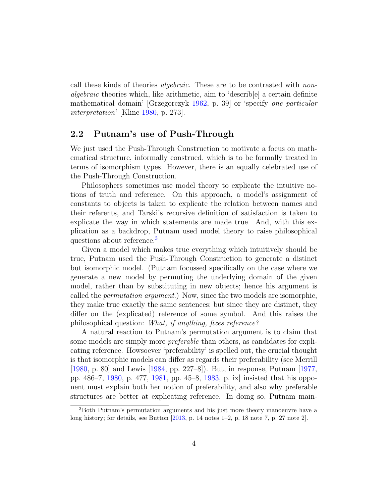call these kinds of theories *algebraic*. These are to be contrasted with *nonalgebraic* theories which, like arithmetic, aim to 'describ<sup>[e]</sup> a certain definite mathematical domain' [Grzegorczyk [1962,](#page-28-0) p. 39] or 'specify one particular interpretation' [Kline [1980,](#page-28-1) p. 273].

### <span id="page-3-1"></span>2.2 Putnam's use of Push-Through

We just used the Push-Through Construction to motivate a focus on mathematical structure, informally construed, which is to be formally treated in terms of isomorphism types. However, there is an equally celebrated use of the Push-Through Construction.

Philosophers sometimes use model theory to explicate the intuitive notions of truth and reference. On this approach, a model's assignment of constants to objects is taken to explicate the relation between names and their referents, and Tarski's recursive definition of satisfaction is taken to explicate the way in which statements are made true. And, with this explication as a backdrop, Putnam used model theory to raise philosophical questions about reference.<sup>[3](#page-3-0)</sup>

Given a model which makes true everything which intuitively should be true, Putnam used the Push-Through Construction to generate a distinct but isomorphic model. (Putnam focussed specifically on the case where we generate a new model by permuting the underlying domain of the given model, rather than by substituting in new objects; hence his argument is called the permutation argument.) Now, since the two models are isomorphic, they make true exactly the same sentences; but since they are distinct, they differ on the (explicated) reference of some symbol. And this raises the philosophical question: What, if anything, fixes reference?

A natural reaction to Putnam's permutation argument is to claim that some models are simply more *preferable* than others, as candidates for explicating reference. Howsoever 'preferability' is spelled out, the crucial thought is that isomorphic models can differ as regards their preferability (see Merrill [\[1980,](#page-29-0) p. 80] and Lewis [\[1984,](#page-29-1) pp. 227–8]). But, in response, Putnam [\[1977,](#page-30-2) pp. 486–7, [1980,](#page-30-3) p. 477, [1981,](#page-30-4) pp. 45–8, [1983,](#page-30-5) p. ix] insisted that his opponent must explain both her notion of preferability, and also why preferable structures are better at explicating reference. In doing so, Putnam main-

<span id="page-3-0"></span><sup>3</sup>Both Putnam's permutation arguments and his just more theory manoeuvre have a long history; for details, see Button [\[2013,](#page-27-0) p. 14 notes 1–2, p. 18 note 7, p. 27 note 2].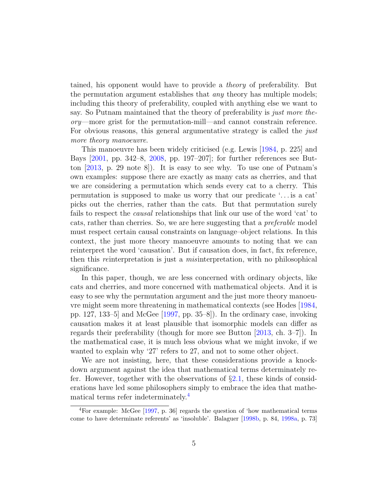tained, his opponent would have to provide a theory of preferability. But the permutation argument establishes that any theory has multiple models; including this theory of preferability, coupled with anything else we want to say. So Putnam maintained that the theory of preferability is just more theory—more grist for the permutation-mill—and cannot constrain reference. For obvious reasons, this general argumentative strategy is called the *just* more theory manoeuvre.

This manoeuvre has been widely criticised (e.g. Lewis [\[1984,](#page-29-1) p. 225] and Bays [\[2001,](#page-26-0) pp. 342–8, [2008,](#page-26-1) pp. 197–207]; for further references see Button [\[2013,](#page-27-0) p. 29 note 8]). It is easy to see why. To use one of Putnam's own examples: suppose there are exactly as many cats as cherries, and that we are considering a permutation which sends every cat to a cherry. This permutation is supposed to make us worry that our predicate '. . . is a cat' picks out the cherries, rather than the cats. But that permutation surely fails to respect the causal relationships that link our use of the word 'cat' to cats, rather than cherries. So, we are here suggesting that a preferable model must respect certain causal constraints on language–object relations. In this context, the just more theory manoeuvre amounts to noting that we can reinterpret the word 'causation'. But if causation does, in fact, fix reference, then this reinterpretation is just a misinterpretation, with no philosophical significance.

In this paper, though, we are less concerned with ordinary objects, like cats and cherries, and more concerned with mathematical objects. And it is easy to see why the permutation argument and the just more theory manoeuvre might seem more threatening in mathematical contexts (see Hodes [\[1984,](#page-28-2) pp. 127, 133–5] and McGee [\[1997,](#page-29-2) pp. 35–8]). In the ordinary case, invoking causation makes it at least plausible that isomorphic models can differ as regards their preferability (though for more see Button [\[2013,](#page-27-0) ch. 3–7]). In the mathematical case, it is much less obvious what we might invoke, if we wanted to explain why '27' refers to 27, and not to some other object.

We are not insisting, here, that these considerations provide a knockdown argument against the idea that mathematical terms determinately refer. However, together with the observations of  $\S 2.1$ , these kinds of considerations have led some philosophers simply to embrace the idea that mathematical terms refer indeterminately.[4](#page-4-0)

<span id="page-4-0"></span><sup>4</sup>For example: McGee [\[1997,](#page-29-2) p. 36] regards the question of 'how mathematical terms come to have determinate referents' as 'insoluble'. Balaguer [\[1998b,](#page-26-2) p. 84, [1998a,](#page-26-3) p. 73]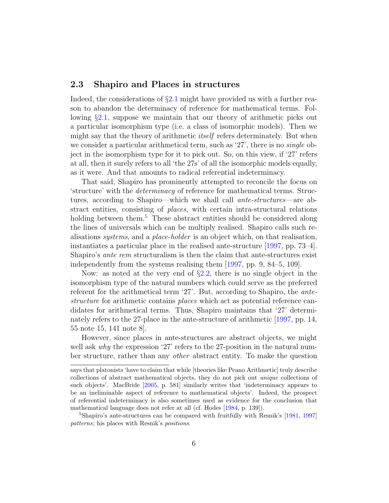### 2.3 Shapiro and Places in structures

Indeed, the considerations of §[2.1](#page-1-2) might have provided us with a further reason to abandon the determinacy of reference for mathematical terms. Following §[2.1,](#page-1-2) suppose we maintain that our theory of arithmetic picks out a particular isomorphism type (i.e. a class of isomorphic models). Then we might say that the theory of arithmetic *itself* refers determinately. But when we consider a particular arithmetical term, such as '27', there is no *single* object in the isomorphism type for it to pick out. So, on this view, if '27' refers at all, then it surely refers to all 'the 27s' of all the isomorphic models equally, as it were. And that amounts to radical referential indeterminacy.

That said, Shapiro has prominently attempted to reconcile the focus on 'structure' with the determinacy of reference for mathematical terms. Structures, according to Shapiro—which we shall call ante-structures—are abstract entities, consisting of places, with certain intra-structural relations holding between them.<sup>[5](#page-5-0)</sup> These abstract entities should be considered along the lines of universals which can be multiply realised. Shapiro calls such realisations systems, and a place-holder is an object which, on that realisation, instantiates a particular place in the realised ante-structure [\[1997,](#page-31-0) pp. 73–4]. Shapiro's ante rem structuralism is then the claim that ante-structures exist independently from the systems realising them [\[1997,](#page-31-0) pp. 9, 84–5, 109].

Now: as noted at the very end of §[2.2,](#page-3-1) there is no single object in the isomorphism type of the natural numbers which could serve as the preferred referent for the arithmetical term '27'. But, according to Shapiro, the antestructure for arithmetic contains places which act as potential reference candidates for arithmetical terms. Thus, Shapiro maintains that '27' determinately refers to the 27-place in the ante-structure of arithmetic [\[1997,](#page-31-0) pp. 14, 55 note 15, 141 note 8].

However, since places in ante-structures are abstract objects, we might well ask why the expression '27' refers to the 27-position in the natural number structure, rather than any other abstract entity. To make the question

says that platonists 'have to claim that while [theories like Peano Arithmetic] truly describe collections of abstract mathematical objects, they do not pick out unique collections of such objects'. MacBride [\[2005,](#page-29-3) p. 581] similarly writes that 'indeterminacy appears to be an ineliminable aspect of reference to mathematical objects'. Indeed, the prospect of referential indeterminacy is also sometimes used as evidence for the conclusion that mathematical language does not refer at all (cf. Hodes [\[1984,](#page-28-2) p. 139]).

<span id="page-5-0"></span><sup>&</sup>lt;sup>5</sup>Shapiro's ante-structures can be compared with fruitfully with Resnik's [\[1981,](#page-30-0) [1997\]](#page-30-1) patterns; his places with Resnik's positions.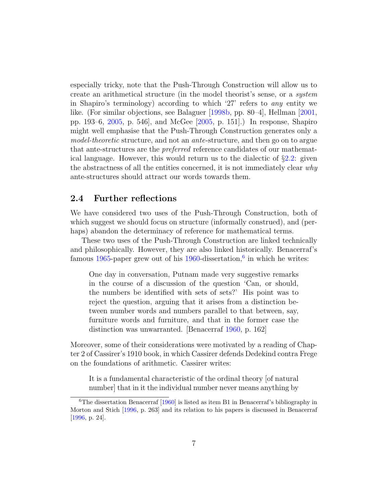especially tricky, note that the Push-Through Construction will allow us to create an arithmetical structure (in the model theorist's sense, or a system in Shapiro's terminology) according to which '27' refers to any entity we like. (For similar objections, see Balaguer [\[1998b,](#page-26-2) pp. 80–4], Hellman [\[2001,](#page-28-3) pp. 193–6, [2005,](#page-28-4) p. 546], and McGee [\[2005,](#page-29-4) p. 151].) In response, Shapiro might well emphasise that the Push-Through Construction generates only a model-theoretic structure, and not an ante-structure, and then go on to argue that ante-structures are the preferred reference candidates of our mathematical language. However, this would return us to the dialectic of  $\S 2.2$ : given the abstractness of all the entities concerned, it is not immediately clear why ante-structures should attract our words towards them.

### 2.4 Further reflections

We have considered two uses of the Push-Through Construction, both of which suggest we should focus on structure (informally construed), and (perhaps) abandon the determinacy of reference for mathematical terms.

These two uses of the Push-Through Construction are linked technically and philosophically. However, they are also linked historically. Benacerraf's famous [1965-](#page-27-1)paper grew out of his [1960-](#page-27-2)dissertation,<sup>[6](#page-6-0)</sup> in which he writes:

One day in conversation, Putnam made very suggestive remarks in the course of a discussion of the question 'Can, or should, the numbers be identified with sets of sets?' His point was to reject the question, arguing that it arises from a distinction between number words and numbers parallel to that between, say, furniture words and furniture, and that in the former case the distinction was unwarranted. [Benacerraf [1960,](#page-27-2) p. 162]

Moreover, some of their considerations were motivated by a reading of Chapter 2 of Cassirer's 1910 book, in which Cassirer defends Dedekind contra Frege on the foundations of arithmetic. Cassirer writes:

It is a fundamental characteristic of the ordinal theory of natural number] that in it the individual number never means anything by

<span id="page-6-0"></span> ${}^{6}$ The dissertation Benacerraf [\[1960\]](#page-27-2) is listed as item B1 in Benacerraf's bibliography in Morton and Stich [\[1996,](#page-29-5) p. 263] and its relation to his papers is discussed in Benacerraf [\[1996,](#page-27-3) p. 24].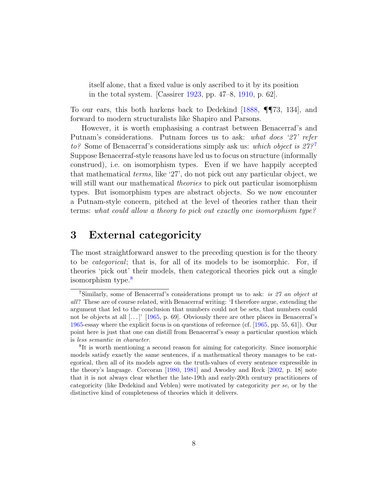itself alone, that a fixed value is only ascribed to it by its position in the total system. [Cassirer [1923,](#page-27-4) pp. 47–8, [1910,](#page-27-5) p. 62].

To our ears, this both harkens back to Dedekind [\[1888,](#page-27-6) ¶¶73, 134], and forward to modern structuralists like Shapiro and Parsons.

However, it is worth emphasising a contrast between Benacerraf's and Putnam's considerations. Putnam forces us to ask: what does '27' refer to? Some of Benacerraf's considerations simply ask us: which object is  $27$  $27$ ? Suppose Benacerraf-style reasons have led us to focus on structure (informally construed), i.e. on isomorphism types. Even if we have happily accepted that mathematical terms, like '27', do not pick out any particular object, we will still want our mathematical *theories* to pick out particular isomorphism types. But isomorphism types are abstract objects. So we now encounter a Putnam-style concern, pitched at the level of theories rather than their terms: what could allow a theory to pick out exactly one isomorphism type?

# <span id="page-7-0"></span>3 External categoricity

The most straightforward answer to the preceding question is for the theory to be categorical; that is, for all of its models to be isomorphic. For, if theories 'pick out' their models, then categorical theories pick out a single isomorphism type.<sup>[8](#page-7-2)</sup>

<span id="page-7-1"></span><sup>&</sup>lt;sup>7</sup>Similarly, some of Benacerraf's considerations prompt us to ask: is 27 an object at all? These are of course related, with Benacerraf writing: 'I therefore argue, extending the argument that led to the conclusion that numbers could not be sets, that numbers could not be objects at all  $[\ldots]$ <sup>'</sup> [\[1965,](#page-27-1) p. 69]. Obviously there are other places in Benacerraf's [1965-](#page-27-1)essay where the explicit focus is on questions of reference (cf. [\[1965,](#page-27-1) pp. 55, 61]). Our point here is just that one can distill from Benacerraf's essay a particular question which is less semantic in character.

<span id="page-7-2"></span><sup>8</sup> It is worth mentioning a second reason for aiming for categoricity. Since isomorphic models satisfy exactly the same sentences, if a mathematical theory manages to be categorical, then all of its models agree on the truth-values of every sentence expressible in the theory's language. Corcoran [\[1980,](#page-27-7) [1981\]](#page-27-8) and Awodey and Reck [\[2002,](#page-26-4) p. 18] note that it is not always clear whether the late-19th and early-20th century practitioners of categoricity (like Dedekind and Veblen) were motivated by categoricity per se, or by the distinctive kind of completeness of theories which it delivers.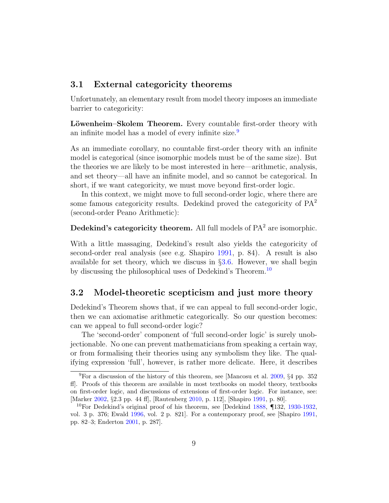#### <span id="page-8-3"></span>3.1 External categoricity theorems

Unfortunately, an elementary result from model theory imposes an immediate barrier to categoricity:

Löwenheim–Skolem Theorem. Every countable first-order theory with an infinite model has a model of every infinite size.<sup>[9](#page-8-0)</sup>

As an immediate corollary, no countable first-order theory with an infinite model is categorical (since isomorphic models must be of the same size). But the theories we are likely to be most interested in here—arithmetic, analysis, and set theory—all have an infinite model, and so cannot be categorical. In short, if we want categoricity, we must move beyond first-order logic.

In this context, we might move to full second-order logic, where there are some famous categoricity results. Dedekind proved the categoricity of  $PA<sup>2</sup>$ (second-order Peano Arithmetic):

### Dedekind's categoricity theorem. All full models of  $PA^2$  are isomorphic.

With a little massaging, Dedekind's result also yields the categoricity of second-order real analysis (see e.g. Shapiro [1991,](#page-31-2) p. 84). A result is also available for set theory, which we discuss in §[3.6.](#page-14-0) However, we shall begin by discussing the philosophical uses of Dedekind's Theorem.[10](#page-8-1)

### <span id="page-8-2"></span>3.2 Model-theoretic scepticism and just more theory

Dedekind's Theorem shows that, if we can appeal to full second-order logic, then we can axiomatise arithmetic categorically. So our question becomes: can we appeal to full second-order logic?

The 'second-order' component of 'full second-order logic' is surely unobjectionable. No one can prevent mathematicians from speaking a certain way, or from formalising their theories using any symbolism they like. The qualifying expression 'full', however, is rather more delicate. Here, it describes

<span id="page-8-0"></span><sup>9</sup>For a discussion of the history of this theorem, see [Mancosu et al. [2009,](#page-29-6) §4 pp. 352 ff]. Proofs of this theorem are available in most textbooks on model theory, textbooks on first-order logic, and discussions of extensions of first-order logic. For instance, see: [Marker [2002,](#page-29-7) §2.3 pp. 44 ff], [Rautenberg [2010,](#page-30-6) p. 112], [Shapiro [1991,](#page-31-2) p. 80].

<span id="page-8-1"></span><sup>10</sup>For Dedekind's original proof of his theorem, see [Dedekind [1888,](#page-27-6) ¶132, [1930-1932,](#page-27-9) vol. 3 p. 376; Ewald [1996,](#page-28-5) vol. 2 p. 821]. For a contemporary proof, see [Shapiro [1991,](#page-31-2) pp. 82–3; Enderton [2001,](#page-27-10) p. 287].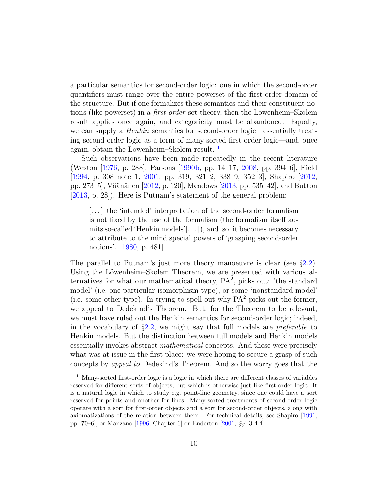a particular semantics for second-order logic: one in which the second-order quantifiers must range over the entire powerset of the first-order domain of the structure. But if one formalizes these semantics and their constituent notions (like powerset) in a *first-order* set theory, then the Löwenheim–Skolem result applies once again, and categoricity must be abandoned. Equally, we can supply a *Henkin* semantics for second-order logic—essentially treating second-order logic as a form of many-sorted first-order logic—and, once again, obtain the Löwenheim–Skolem result.<sup>[11](#page-9-0)</sup>

Such observations have been made repeatedly in the recent literature (Weston [\[1976,](#page-31-3) p. 288], Parsons [\[1990b,](#page-30-7) pp. 14–17, [2008,](#page-30-8) pp. 394–6], Field [\[1994,](#page-28-6) p. 308 note 1, [2001,](#page-28-7) pp. 319, 321–2, 338–9, 352–3], Shapiro [\[2012,](#page-31-4) pp. 273–5], Väänänen [\[2012,](#page-31-5) p. 120], Meadows [\[2013,](#page-29-8) pp. 535–42], and Button [\[2013,](#page-27-0) p. 28]). Here is Putnam's statement of the general problem:

[...] the 'intended' interpretation of the second-order formalism is not fixed by the use of the formalism (the formalism itself admits so-called 'Henkin models'[. . . ]), and [so] it becomes necessary to attribute to the mind special powers of 'grasping second-order notions'. [\[1980,](#page-30-3) p. 481]

The parallel to Putnam's just more theory manoeuvre is clear (see  $\S 2.2$ ). Using the Löwenheim–Skolem Theorem, we are presented with various alternatives for what our mathematical theory,  $PA^2$ , picks out: 'the standard model' (i.e. one particular isomorphism type), or some 'nonstandard model' (i.e. some other type). In trying to spell out why  $PA<sup>2</sup>$  picks out the former, we appeal to Dedekind's Theorem. But, for the Theorem to be relevant, we must have ruled out the Henkin semantics for second-order logic; indeed, in the vocabulary of  $\S 2.2$ , we might say that full models are *preferable* to Henkin models. But the distinction between full models and Henkin models essentially invokes abstract mathematical concepts. And these were precisely what was at issue in the first place: we were hoping to secure a grasp of such concepts by appeal to Dedekind's Theorem. And so the worry goes that the

<span id="page-9-0"></span><sup>&</sup>lt;sup>11</sup>Many-sorted first-order logic is a logic in which there are different classes of variables reserved for different sorts of objects, but which is otherwise just like first-order logic. It is a natural logic in which to study e.g. point-line geometry, since one could have a sort reserved for points and another for lines. Many-sorted treatments of second-order logic operate with a sort for first-order objects and a sort for second-order objects, along with axiomatizations of the relation between them. For technical details, see Shapiro [\[1991,](#page-31-2) pp. 70–6], or Manzano [\[1996,](#page-29-9) Chapter 6] or Enderton [\[2001,](#page-27-10) §§4.3-4.4].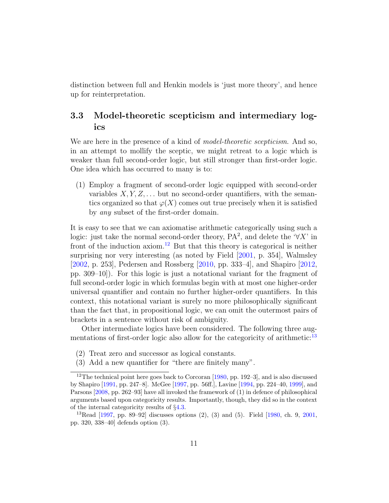distinction between full and Henkin models is 'just more theory', and hence up for reinterpretation.

### <span id="page-10-2"></span>3.3 Model-theoretic scepticism and intermediary logics

We are here in the presence of a kind of *model-theoretic scepticism*. And so, in an attempt to mollify the sceptic, we might retreat to a logic which is weaker than full second-order logic, but still stronger than first-order logic. One idea which has occurred to many is to:

(1) Employ a fragment of second-order logic equipped with second-order variables  $X, Y, Z, \ldots$  but no second-order quantifiers, with the semantics organized so that  $\varphi(X)$  comes out true precisely when it is satisfied by any subset of the first-order domain.

It is easy to see that we can axiomatise arithmetic categorically using such a logic: just take the normal second-order theory,  $PA^2$ , and delete the ' $\forall X$ ' in front of the induction axiom.<sup>[12](#page-10-0)</sup> But that this theory is categorical is neither surprising nor very interesting (as noted by Field [\[2001,](#page-28-7) p. 354], Walmsley [\[2002,](#page-31-6) p. 253], Pedersen and Rossberg [\[2010,](#page-30-9) pp. 333–4], and Shapiro [\[2012,](#page-31-4) pp. 309–10]). For this logic is just a notational variant for the fragment of full second-order logic in which formulas begin with at most one higher-order universal quantifier and contain no further higher-order quantifiers. In this context, this notational variant is surely no more philosophically significant than the fact that, in propositional logic, we can omit the outermost pairs of brackets in a sentence without risk of ambiguity.

Other intermediate logics have been considered. The following three aug-mentations of first-order logic also allow for the categoricity of arithmetic:<sup>[13](#page-10-1)</sup>

- (2) Treat zero and successor as logical constants.
- (3) Add a new quantifier for "there are finitely many".

<span id="page-10-0"></span><sup>&</sup>lt;sup>12</sup>The technical point here goes back to Corcoran  $[1980, pp. 192-3]$  $[1980, pp. 192-3]$ , and is also discussed by Shapiro [\[1991,](#page-31-2) pp. 247–8]. McGee [\[1997,](#page-29-2) pp. 56ff.], Lavine [\[1994,](#page-28-8) pp. 224–40, [1999\]](#page-28-9), and Parsons [\[2008,](#page-30-8) pp. 262–93] have all invoked the framework of (1) in defence of philosophical arguments based upon categoricity results. Importantly, though, they did so in the context of the internal categoricity results of §[4.3.](#page-19-0)

<span id="page-10-1"></span><sup>&</sup>lt;sup>13</sup>Read [\[1997,](#page-30-10) pp. 89–92] discusses options  $(2)$ ,  $(3)$  and  $(5)$ . Field [\[1980,](#page-28-10) ch. 9, [2001,](#page-28-7) pp. 320, 338–40] defends option (3).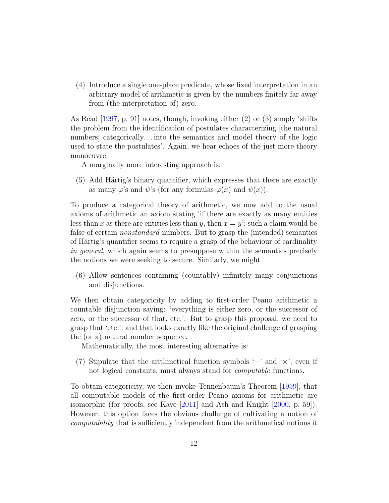(4) Introduce a single one-place predicate, whose fixed interpretation in an arbitrary model of arithmetic is given by the numbers finitely far away from (the interpretation of) zero.

As Read [\[1997,](#page-30-10) p. 91] notes, though, invoking either (2) or (3) simply 'shifts the problem from the identification of postulates characterizing [the natural numbers] categorically. . . into the semantics and model theory of the logic used to state the postulates'. Again, we hear echoes of the just more theory manoeuvre.

A marginally more interesting approach is:

(5) Add Härtig's binary quantifier, which expresses that there are exactly as many  $\varphi$ 's and  $\psi$ 's (for any formulas  $\varphi(x)$  and  $\psi(x)$ ).

To produce a categorical theory of arithmetic, we now add to the usual axioms of arithmetic an axiom stating 'if there are exactly as many entities less than x as there are entities less than y, then  $x = y'$ ; such a claim would be false of certain nonstandard numbers. But to grasp the (intended) semantics of Härtig's quantifier seems to require a grasp of the behaviour of cardinality in general, which again seems to presuppose within the semantics precisely the notions we were seeking to secure. Similarly, we might

(6) Allow sentences containing (countably) infinitely many conjunctions and disjunctions.

We then obtain categoricity by adding to first-order Peano arithmetic a countable disjunction saying: 'everything is either zero, or the successor of zero, or the successor of that, etc.'. But to grasp this proposal, we need to grasp that 'etc.'; and that looks exactly like the original challenge of grasping the (or a) natural number sequence.

Mathematically, the most interesting alternative is:

(7) Stipulate that the arithmetical function symbols  $'$ + and  $'$  ×, even if not logical constants, must always stand for computable functions.

To obtain categoricity, we then invoke Tennenbaum's Theorem [\[1959\]](#page-31-7), that all computable models of the first-order Peano axioms for arithmetic are isomorphic (for proofs, see Kaye [\[2011\]](#page-28-11) and Ash and Knight [\[2000,](#page-26-5) p. 59]). However, this option faces the obvious challenge of cultivating a notion of computability that is sufficiently independent from the arithmetical notions it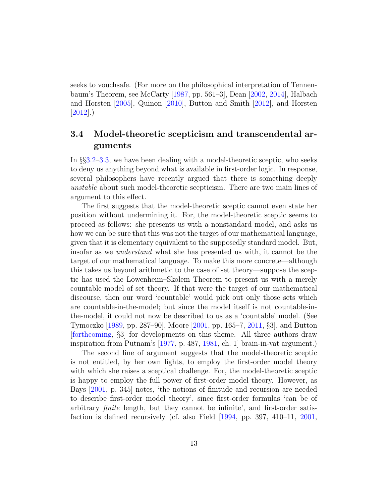seeks to vouchsafe. (For more on the philosophical interpretation of Tennenbaum's Theorem, see McCarty [\[1987,](#page-29-10) pp. 561–3], Dean [\[2002,](#page-27-11) [2014\]](#page-27-12), Halbach and Horsten [\[2005\]](#page-28-12), Quinon [\[2010\]](#page-30-11), Button and Smith [\[2012\]](#page-27-13), and Horsten [\[2012\]](#page-28-13).)

### 3.4 Model-theoretic scepticism and transcendental arguments

In §§[3.2–](#page-8-2)[3.3,](#page-10-2) we have been dealing with a model-theoretic sceptic, who seeks to deny us anything beyond what is available in first-order logic. In response, several philosophers have recently argued that there is something deeply unstable about such model-theoretic scepticism. There are two main lines of argument to this effect.

The first suggests that the model-theoretic sceptic cannot even state her position without undermining it. For, the model-theoretic sceptic seems to proceed as follows: she presents us with a nonstandard model, and asks us how we can be sure that this was not the target of our mathematical language, given that it is elementary equivalent to the supposedly standard model. But, insofar as we understand what she has presented us with, it cannot be the target of our mathematical language. To make this more concrete—although this takes us beyond arithmetic to the case of set theory—suppose the sceptic has used the Löwenheim–Skolem Theorem to present us with a merely countable model of set theory. If that were the target of our mathematical discourse, then our word 'countable' would pick out only those sets which are countable-in-the-model; but since the model itself is not countable-inthe-model, it could not now be described to us as a 'countable' model. (See Tymoczko [\[1989,](#page-31-8) pp. 287–90], Moore [\[2001,](#page-29-11) pp. 165–7, [2011,](#page-29-12) §3], and Button [\[forthcoming,](#page-27-14) §3] for developments on this theme. All three authors draw inspiration from Putnam's [\[1977,](#page-30-2) p. 487, [1981,](#page-30-4) ch. 1] brain-in-vat argument.)

The second line of argument suggests that the model-theoretic sceptic is not entitled, by her own lights, to employ the first-order model theory with which she raises a sceptical challenge. For, the model-theoretic sceptic is happy to employ the full power of first-order model theory. However, as Bays [\[2001,](#page-26-0) p. 345] notes, 'the notions of finitude and recursion are needed to describe first-order model theory', since first-order formulas 'can be of arbitrary finite length, but they cannot be infinite', and first-order satisfaction is defined recursively (cf. also Field [\[1994,](#page-28-6) pp. 397, 410–11, [2001,](#page-28-7)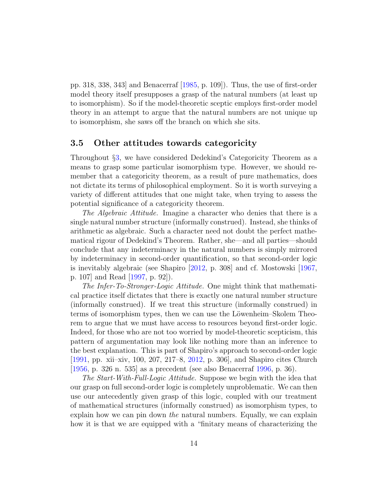pp. 318, 338, 343] and Benacerraf [\[1985,](#page-27-15) p. 109]). Thus, the use of first-order model theory itself presupposes a grasp of the natural numbers (at least up to isomorphism). So if the model-theoretic sceptic employs first-order model theory in an attempt to argue that the natural numbers are not unique up to isomorphism, she saws off the branch on which she sits.

### 3.5 Other attitudes towards categoricity

Throughout §[3,](#page-7-0) we have considered Dedekind's Categoricity Theorem as a means to grasp some particular isomorphism type. However, we should remember that a categoricity theorem, as a result of pure mathematics, does not dictate its terms of philosophical employment. So it is worth surveying a variety of different attitudes that one might take, when trying to assess the potential significance of a categoricity theorem.

The Algebraic Attitude. Imagine a character who denies that there is a single natural number structure (informally construed). Instead, she thinks of arithmetic as algebraic. Such a character need not doubt the perfect mathematical rigour of Dedekind's Theorem. Rather, she—and all parties—should conclude that any indeterminacy in the natural numbers is simply mirrored by indeterminacy in second-order quantification, so that second-order logic is inevitably algebraic (see Shapiro [\[2012,](#page-31-4) p. 308] and cf. Mostowski [\[1967,](#page-30-12) p. 107] and Read [\[1997,](#page-30-10) p. 92]).

The Infer-To-Stronger-Logic Attitude. One might think that mathematical practice itself dictates that there is exactly one natural number structure (informally construed). If we treat this structure (informally construed) in terms of isomorphism types, then we can use the Löwenheim–Skolem Theorem to argue that we must have access to resources beyond first-order logic. Indeed, for those who are not too worried by model-theoretic scepticism, this pattern of argumentation may look like nothing more than an inference to the best explanation. This is part of Shapiro's approach to second-order logic [\[1991,](#page-31-2) pp. xii–xiv, 100, 207, 217–8, [2012,](#page-31-4) p. 306], and Shapiro cites Church [\[1956,](#page-27-16) p. 326 n. 535] as a precedent (see also Benacerraf [1996,](#page-27-3) p. 36).

The Start-With-Full-Logic Attitude. Suppose we begin with the idea that our grasp on full second-order logic is completely unproblematic. We can then use our antecedently given grasp of this logic, coupled with our treatment of mathematical structures (informally construed) as isomorphism types, to explain how we can pin down the natural numbers. Equally, we can explain how it is that we are equipped with a "finitary means of characterizing the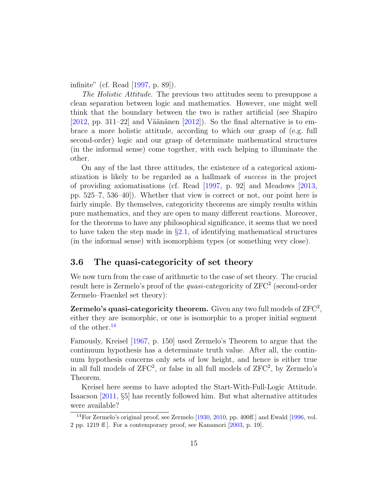infinite" (cf. Read [\[1997,](#page-30-10) p. 89]).

The Holistic Attitude. The previous two attitudes seem to presuppose a clean separation between logic and mathematics. However, one might well think that the boundary between the two is rather artificial (see Shapiro [\[2012,](#page-31-4) pp. 311–22] and Väänänen [\[2012\]](#page-31-5)). So the final alternative is to embrace a more holistic attitude, according to which our grasp of (e.g. full second-order) logic and our grasp of determinate mathematical structures (in the informal sense) come together, with each helping to illuminate the other.

On any of the last three attitudes, the existence of a categorical axiomatization is likely to be regarded as a hallmark of success in the project of providing axiomatisations (cf. Read [\[1997,](#page-30-10) p. 92] and Meadows [\[2013,](#page-29-8) pp. 525–7, 536–40]). Whether that view is correct or not, our point here is fairly simple. By themselves, categoricity theorems are simply results within pure mathematics, and they are open to many different reactions. Moreover, for the theorems to have any philosophical significance, it seems that we need to have taken the step made in  $\S2.1$ , of identifying mathematical structures (in the informal sense) with isomorphism types (or something very close).

### <span id="page-14-0"></span>3.6 The quasi-categoricity of set theory

We now turn from the case of arithmetic to the case of set theory. The crucial result here is Zermelo's proof of the *quasi*-categoricity of  $ZFC^2$  (second-order Zermelo–Fraenkel set theory):

**Zermelo's quasi-categoricity theorem.** Given any two full models of  $\mathrm{ZFC}^2,$ either they are isomorphic, or one is isomorphic to a proper initial segment of the other.<sup>[14](#page-14-1)</sup>

Famously, Kreisel [\[1967,](#page-28-14) p. 150] used Zermelo's Theorem to argue that the continuum hypothesis has a determinate truth value. After all, the continuum hypothesis concerns only sets of low height, and hence is either true in all full models of  $ZFC^2$ , or false in all full models of  $ZFC^2$ , by  $Zermelo's$ Theorem.

Kreisel here seems to have adopted the Start-With-Full-Logic Attitude. Isaacson [\[2011,](#page-28-15) §5] has recently followed him. But what alternative attitudes were available?

<span id="page-14-1"></span><sup>&</sup>lt;sup>14</sup>For Zermelo's original proof, see Zermelo  $[1930, 2010, pp. 400$  $[1930, 2010, pp. 400$  $[1930, 2010, pp. 400$  $[1930, 2010, pp. 400$ ff. and Ewald  $[1996, vol.$  $[1996, vol.$ 2 pp. 1219 ff.]. For a contemporary proof, see Kanamori [\[2003,](#page-28-16) p. 19].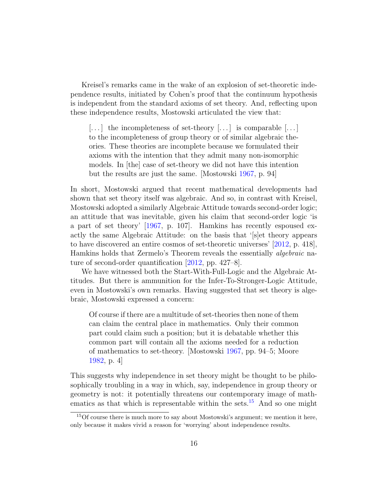Kreisel's remarks came in the wake of an explosion of set-theoretic independence results, initiated by Cohen's proof that the continuum hypothesis is independent from the standard axioms of set theory. And, reflecting upon these independence results, Mostowski articulated the view that:

 $\left[\ldots\right]$  the incompleteness of set-theory  $\left[\ldots\right]$  is comparable  $\left[\ldots\right]$ to the incompleteness of group theory or of similar algebraic theories. These theories are incomplete because we formulated their axioms with the intention that they admit many non-isomorphic models. In [the] case of set-theory we did not have this intention but the results are just the same. [Mostowski [1967,](#page-30-12) p. 94]

In short, Mostowski argued that recent mathematical developments had shown that set theory itself was algebraic. And so, in contrast with Kreisel, Mostowski adopted a similarly Algebraic Attitude towards second-order logic; an attitude that was inevitable, given his claim that second-order logic 'is a part of set theory' [\[1967,](#page-30-12) p. 107]. Hamkins has recently espoused exactly the same Algebraic Attitude: on the basis that '[s]et theory appears to have discovered an entire cosmos of set-theoretic universes' [\[2012,](#page-28-17) p. 418], Hamkins holds that Zermelo's Theorem reveals the essentially algebraic nature of second-order quantification [\[2012,](#page-28-17) pp. 427–8].

We have witnessed both the Start-With-Full-Logic and the Algebraic Attitudes. But there is ammunition for the Infer-To-Stronger-Logic Attitude, even in Mostowski's own remarks. Having suggested that set theory is algebraic, Mostowski expressed a concern:

Of course if there are a multitude of set-theories then none of them can claim the central place in mathematics. Only their common part could claim such a position; but it is debatable whether this common part will contain all the axioms needed for a reduction of mathematics to set-theory. [Mostowski [1967,](#page-30-12) pp. 94–5; Moore [1982,](#page-29-13) p. 4]

This suggests why independence in set theory might be thought to be philosophically troubling in a way in which, say, independence in group theory or geometry is not: it potentially threatens our contemporary image of math-ematics as that which is representable within the sets.<sup>[15](#page-15-0)</sup> And so one might

<span id="page-15-0"></span><sup>&</sup>lt;sup>15</sup>Of course there is much more to say about Mostowski's argument; we mention it here, only because it makes vivid a reason for 'worrying' about independence results.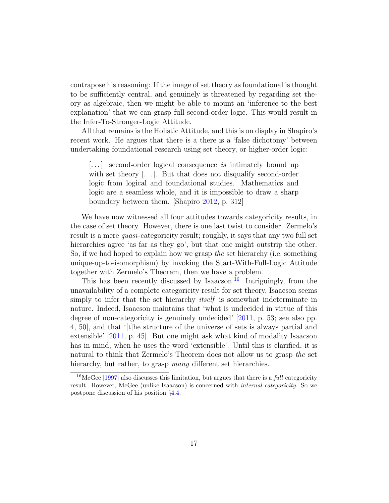contrapose his reasoning: If the image of set theory as foundational is thought to be sufficiently central, and genuinely is threatened by regarding set theory as algebraic, then we might be able to mount an 'inference to the best explanation' that we can grasp full second-order logic. This would result in the Infer-To-Stronger-Logic Attitude.

All that remains is the Holistic Attitude, and this is on display in Shapiro's recent work. He argues that there is a there is a 'false dichotomy' between undertaking foundational research using set theory, or higher-order logic:

[...] second-order logical consequence is intimately bound up with set theory  $[\,\dots]$ . But that does not disqualify second-order logic from logical and foundational studies. Mathematics and logic are a seamless whole, and it is impossible to draw a sharp boundary between them. [Shapiro [2012,](#page-31-4) p. 312]

We have now witnessed all four attitudes towards categoricity results, in the case of set theory. However, there is one last twist to consider. Zermelo's result is a mere quasi-categoricity result; roughly, it says that any two full set hierarchies agree 'as far as they go', but that one might outstrip the other. So, if we had hoped to explain how we grasp the set hierarchy (i.e. something unique-up-to-isomorphism) by invoking the Start-With-Full-Logic Attitude together with Zermelo's Theorem, then we have a problem.

This has been recently discussed by Isaacson.<sup>[16](#page-16-0)</sup> Intriguingly, from the unavailability of a complete categoricity result for set theory, Isaacson seems simply to infer that the set hierarchy *itself* is somewhat indeterminate in nature. Indeed, Isaacson maintains that 'what is undecided in virtue of this degree of non-categoricity is genuinely undecided' [\[2011,](#page-28-15) p. 53; see also pp. 4, 50], and that '[t]he structure of the universe of sets is always partial and extensible' [\[2011,](#page-28-15) p. 45]. But one might ask what kind of modality Isaacson has in mind, when he uses the word 'extensible'. Until this is clarified, it is natural to think that Zermelo's Theorem does not allow us to grasp the set hierarchy, but rather, to grasp many different set hierarchies.

<span id="page-16-0"></span> $16$ McGee [\[1997\]](#page-29-2) also discusses this limitation, but argues that there is a *full* categoricity result. However, McGee (unlike Isaacson) is concerned with internal categoricity. So we postpone discussion of his position §[4.4.](#page-22-0)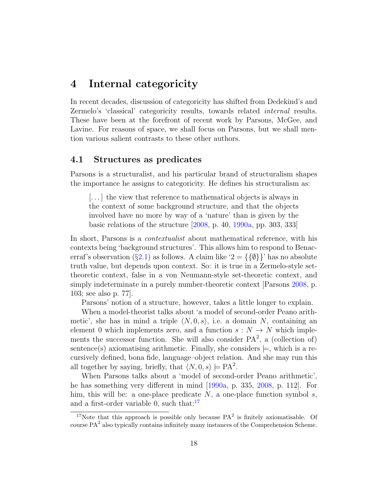### <span id="page-17-0"></span>4 Internal categoricity

In recent decades, discussion of categoricity has shifted from Dedekind's and Zermelo's 'classical' categoricity results, towards related internal results. These have been at the forefront of recent work by Parsons, McGee, and Lavine. For reasons of space, we shall focus on Parsons, but we shall mention various salient contrasts to these other authors.

#### <span id="page-17-2"></span>4.1 Structures as predicates

Parsons is a structuralist, and his particular brand of structuralism shapes the importance he assigns to categoricity. He defines his structuralism as:

 $\lfloor \ldots \rfloor$  the view that reference to mathematical objects is always in the context of some background structure, and that the objects involved have no more by way of a 'nature' than is given by the basic relations of the structure [\[2008,](#page-30-8) p. 40, [1990a,](#page-30-13) pp. 303, 333]

In short, Parsons is a *contextualist* about mathematical reference, with his contexts being 'background structures'. This allows him to respond to Benac-erraf's observation (§[2.1\)](#page-1-2) as follows. A claim like  $2 = \{\{\emptyset\}\}\$  has no absolute truth value, but depends upon context. So: it is true in a Zermelo-style settheoretic context, false in a von Neumann-style set-theoretic context, and simply indeterminate in a purely number-theoretic context [Parsons [2008,](#page-30-8) p. 103; see also p. 77].

Parsons' notion of a structure, however, takes a little longer to explain.

When a model-theorist talks about 'a model of second-order Peano arithmetic', she has in mind a triple  $\langle N, 0, s \rangle$ , i.e. a domain N, containing an element 0 which implements zero, and a function  $s: N \to N$  which implements the successor function. She will also consider  $PA^2$ , a (collection of) sentence(s) axiomatising arithmetic. Finally, she considers  $\models$ , which is a recursively defined, bona fide, language–object relation. And she may run this all together by saying, briefly, that  $\langle N, 0, s \rangle \models PA^2$ .

When Parsons talks about a 'model of second-order Peano arithmetic', he has something very different in mind [\[1990a,](#page-30-13) p. 335, [2008,](#page-30-8) p. 112]. For him, this will be: a one-place predicate  $N$ , a one-place function symbol  $s$ , and a first-order variable 0, such that: $17$ 

<span id="page-17-1"></span><sup>&</sup>lt;sup>17</sup>Note that this approach is possible only because  $PA^2$  is finitely axiomatisable. Of course  $PA<sup>2</sup>$  also typically contains infinitely many instances of the Comprehension Scheme.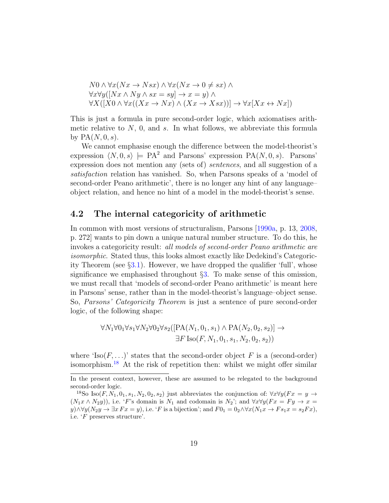$$
N0 \land \forall x (Nx \to Nsx) \land \forall x (Nx \to 0 \neq sx) \land
$$
  

$$
\forall x \forall y ([Nx \land Ny \land sx = sy] \to x = y) \land
$$
  

$$
\forall X ([X0 \land \forall x ((Xx \to Nx) \land (Xx \to Xsx))] \to \forall x [Xx \leftrightarrow Nx])
$$

This is just a formula in pure second-order logic, which axiomatises arithmetic relative to  $N$ , 0, and s. In what follows, we abbreviate this formula by  $PA(N, 0, s)$ .

We cannot emphasise enough the difference between the model-theorist's expression  $\langle N, 0, s \rangle \models \text{PA}^2$  and Parsons' expression  $\text{PA}(N, 0, s)$ . Parsons' expression does not mention any (sets of) sentences, and all suggestion of a satisfaction relation has vanished. So, when Parsons speaks of a 'model of second-order Peano arithmetic', there is no longer any hint of any language– object relation, and hence no hint of a model in the model-theorist's sense.

### 4.2 The internal categoricity of arithmetic

In common with most versions of structuralism, Parsons [\[1990a,](#page-30-13) p. 13, [2008,](#page-30-8) p. 272] wants to pin down a unique natural number structure. To do this, he invokes a categoricity result: all models of second-order Peano arithmetic are isomorphic. Stated thus, this looks almost exactly like Dedekind's Categoricity Theorem (see §[3.1\)](#page-8-3). However, we have dropped the qualifier 'full', whose significance we emphasised throughout §[3.](#page-7-0) To make sense of this omission, we must recall that 'models of second-order Peano arithmetic' is meant here in Parsons' sense, rather than in the model-theorist's language–object sense. So, Parsons' Categoricity Theorem is just a sentence of pure second-order logic, of the following shape:

$$
\forall N_1 \forall 0_1 \forall s_1 \forall N_2 \forall 0_2 \forall s_2 ([PA(N_1, 0_1, s_1) \land PA(N_2, 0_2, s_2)] \rightarrow
$$
  

$$
\exists F \text{Iso}(F, N_1, 0_1, s_1, N_2, 0_2, s_2))
$$

where 'Iso $(F, \ldots)$ ' states that the second-order object F is a (second-order) isomorphism.[18](#page-18-0) At the risk of repetition then: whilst we might offer similar

In the present context, however, these are assumed to be relegated to the background second-order logic.

<span id="page-18-0"></span><sup>&</sup>lt;sup>18</sup>So Iso(F, N<sub>1</sub>, 0<sub>1</sub>, s<sub>1</sub>, N<sub>2</sub>, 0<sub>2</sub>, s<sub>2</sub>) just abbreviates the conjunction of:  $\forall x \forall y (Fx = y \rightarrow$  $(N_1x \wedge N_2y)$ , i.e. 'F's domain is  $N_1$  and codomain is  $N_2$ '; and  $\forall x \forall y (Fx = Fy \rightarrow x =$ y) $\land \forall y(N_2y \rightarrow \exists x \ Fx = y)$ , i.e. 'F is a bijection'; and  $F0_1 = 0_2 \land \forall x(N_1x \rightarrow Fs_1x = s_2Fx)$ , i.e. 'F preserves structure'.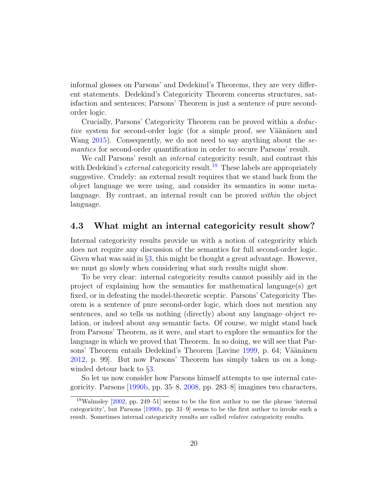informal glosses on Parsons' and Dedekind's Theorems, they are very different statements. Dedekind's Categoricity Theorem concerns structures, satisfaction and sentences; Parsons' Theorem is just a sentence of pure secondorder logic.

Crucially, Parsons' Categoricity Theorem can be proved within a deductive system for second-order logic (for a simple proof, see Väänänen and Wang [2015\)](#page-31-11). Consequently, we do not need to say anything about the semantics for second-order quantification in order to secure Parsons' result.

We call Parsons' result an *internal* categoricity result, and contrast this with Dedekind's *external* categoricity result.<sup>[19](#page-19-1)</sup> These labels are appropriately suggestive. Crudely: an external result requires that we stand back from the object language we were using, and consider its semantics in some metalanguage. By contrast, an internal result can be proved within the object language.

#### <span id="page-19-0"></span>4.3 What might an internal categoricity result show?

Internal categoricity results provide us with a notion of categoricity which does not require any discussion of the semantics for full second-order logic. Given what was said in  $\S3$ , this might be thought a great advantage. However, we must go slowly when considering what such results might show.

To be very clear: internal categoricity results cannot possibly aid in the project of explaining how the semantics for mathematical language(s) get fixed, or in defeating the model-theoretic sceptic. Parsons' Categoricity Theorem is a sentence of pure second-order logic, which does not mention any sentences, and so tells us nothing (directly) about any language–object relation, or indeed about any semantic facts. Of course, we might stand back from Parsons' Theorem, as it were, and start to explore the semantics for the language in which we proved that Theorem. In so doing, we will see that Par-sons' Theorem entails Dedekind's Theorem [Lavine [1999,](#page-28-9) p. 64; Väänänen] [2012,](#page-31-5) p. 99]. But now Parsons' Theorem has simply taken us on a longwinded detour back to §[3.](#page-7-0)

So let us now consider how Parsons himself attempts to use internal categoricity. Parsons [\[1990b,](#page-30-7) pp. 35–8, [2008,](#page-30-8) pp. 283–8] imagines two characters,

<span id="page-19-1"></span><sup>19</sup>Walmsley [\[2002,](#page-31-6) pp. 249–51] seems to be the first author to use the phrase 'internal categoricity', but Parsons [\[1990b,](#page-30-7) pp. 31–9] seems to be the first author to invoke such a result. Sometimes internal categoricity results are called relative categoricity results.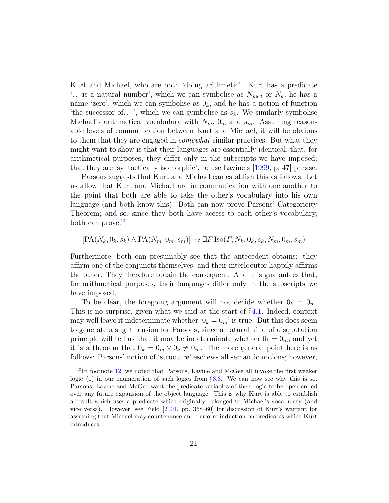Kurt and Michael, who are both 'doing arithmetic'. Kurt has a predicate  $\ldots$  is a natural number', which we can symbolise as  $N_{kurt}$  or  $N_k$ , he has a name 'zero', which we can symbolise as  $0_k$ , and he has a notion of function 'the successor of...', which we can symbolise as  $s_k$ . We similarly symbolise Michael's arithmetical vocabulary with  $N_m$ ,  $0_m$  and  $s_m$ . Assuming reasonable levels of communication between Kurt and Michael, it will be obvious to them that they are engaged in somewhat similar practices. But what they might want to show is that their languages are essentially identical; that, for arithmetical purposes, they differ only in the subscripts we have imposed; that they are 'syntactically isomorphic', to use Lavine's [\[1999,](#page-28-9) p. 47] phrase.

Parsons suggests that Kurt and Michael can establish this as follows. Let us allow that Kurt and Michael are in communication with one another to the point that both are able to take the other's vocabulary into his own language (and both know this). Both can now prove Parsons' Categoricity Theorem; and so, since they both have access to each other's vocabulary, both can prove:  $20$ 

$$
[PA(N_k, 0_k, s_k) \land PA(N_m, 0_m, s_m)] \rightarrow \exists F \, \text{Iso}(F, N_k, 0_k, s_k, N_m, 0_m, s_m)
$$

Furthermore, both can presumably see that the antecedent obtains: they affirm one of the conjuncts themselves, and their interlocutor happily affirms the other. They therefore obtain the consequent. And this guarantees that, for arithmetical purposes, their languages differ only in the subscripts we have imposed.

To be clear, the foregoing argument will not decide whether  $0_k = 0_m$ . This is no surprise, given what we said at the start of §[4.1.](#page-17-2) Indeed, context may well leave it indeterminate whether  $\theta_k = 0_m$  is true. But this does seem to generate a slight tension for Parsons, since a natural kind of disquotation principle will tell us that it may be indeterminate whether  $0_k = 0_m$ ; and yet it is a theorem that  $0_k = 0_m \vee 0_k \neq 0_m$ . The more general point here is as follows: Parsons' notion of 'structure' eschews all semantic notions; however,

<span id="page-20-0"></span> $^{20}$ In footnote [12,](#page-10-0) we noted that Parsons, Lavine and McGee all invoke the first weaker logic (1) in our enumeration of such logics from  $\S 3.3$ . We can now see why this is so. Parsons, Lavine and McGee want the predicate-variables of their logic to be open ended over any future expansion of the object language. This is why Kurt is able to establish a result which uses a predicate which originally belonged to Michael's vocabulary (and vice versa). However, see Field [\[2001,](#page-28-7) pp. 358–60] for discussion of Kurt's warrant for assuming that Michael may countenance and perform induction on predicates which Kurt introduces.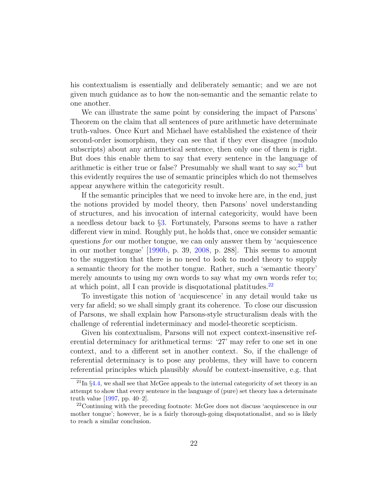his contextualism is essentially and deliberately semantic; and we are not given much guidance as to how the non-semantic and the semantic relate to one another.

We can illustrate the same point by considering the impact of Parsons' Theorem on the claim that all sentences of pure arithmetic have determinate truth-values. Once Kurt and Michael have established the existence of their second-order isomorphism, they can see that if they ever disagree (modulo subscripts) about any arithmetical sentence, then only one of them is right. But does this enable them to say that every sentence in the language of arithmetic is either true or false? Presumably we shall want to say  $\overline{so;}^{21}$  $\overline{so;}^{21}$  $\overline{so;}^{21}$  but this evidently requires the use of semantic principles which do not themselves appear anywhere within the categoricity result.

If the semantic principles that we need to invoke here are, in the end, just the notions provided by model theory, then Parsons' novel understanding of structures, and his invocation of internal categoricity, would have been a needless detour back to §[3.](#page-7-0) Fortunately, Parsons seems to have a rather different view in mind. Roughly put, he holds that, once we consider semantic questions for our mother tongue, we can only answer them by 'acquiescence in our mother tongue' [\[1990b,](#page-30-7) p. 39, [2008,](#page-30-8) p. 288]. This seems to amount to the suggestion that there is no need to look to model theory to supply a semantic theory for the mother tongue. Rather, such a 'semantic theory' merely amounts to using my own words to say what my own words refer to; at which point, all I can provide is disquotational platitudes.  $2^2$ 

To investigate this notion of 'acquiescence' in any detail would take us very far afield; so we shall simply grant its coherence. To close our discussion of Parsons, we shall explain how Parsons-style structuralism deals with the challenge of referential indeterminacy and model-theoretic scepticism.

Given his contextualism, Parsons will not expect context-insensitive referential determinacy for arithmetical terms: '27' may refer to one set in one context, and to a different set in another context. So, if the challenge of referential determinacy is to pose any problems, they will have to concern referential principles which plausibly should be context-insensitive, e.g. that

<span id="page-21-0"></span> $^{21}$ In §[4.4,](#page-22-0) we shall see that McGee appeals to the internal categoricity of set theory in an attempt to show that every sentence in the language of (pure) set theory has a determinate truth value [\[1997,](#page-29-2) pp. 40–2].

<span id="page-21-1"></span><sup>22</sup>Continuing with the preceding footnote: McGee does not discuss 'acquiescence in our mother tongue'; however, he is a fairly thorough-going disquotationalist, and so is likely to reach a similar conclusion.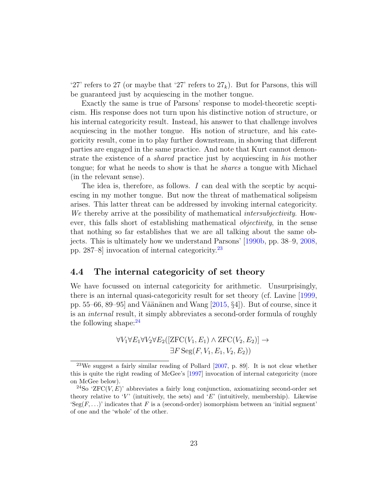'27' refers to 27 (or maybe that '27' refers to  $27<sub>k</sub>$ ). But for Parsons, this will be guaranteed just by acquiescing in the mother tongue.

Exactly the same is true of Parsons' response to model-theoretic scepticism. His response does not turn upon his distinctive notion of structure, or his internal categoricity result. Instead, his answer to that challenge involves acquiescing in the mother tongue. His notion of structure, and his categoricity result, come in to play further downstream, in showing that different parties are engaged in the same practice. And note that Kurt cannot demonstrate the existence of a *shared* practice just by acquiescing in his mother tongue; for what he needs to show is that he shares a tongue with Michael (in the relevant sense).

The idea is, therefore, as follows. I can deal with the sceptic by acquiescing in my mother tongue. But now the threat of mathematical solipsism arises. This latter threat can be addressed by invoking internal categoricity. We thereby arrive at the possibility of mathematical *intersubjectivity*. However, this falls short of establishing mathematical *objectivity*, in the sense that nothing so far establishes that we are all talking about the same objects. This is ultimately how we understand Parsons' [\[1990b,](#page-30-7) pp. 38–9, [2008,](#page-30-8) pp. 287–8] invocation of internal categoricity.[23](#page-22-1)

### <span id="page-22-0"></span>4.4 The internal categoricity of set theory

We have focussed on internal categoricity for arithmetic. Unsurprisingly, there is an internal quasi-categoricity result for set theory (cf. Lavine [\[1999,](#page-28-9) pp.  $55-66$ ,  $89-95$ ] and Väänänen and Wang [\[2015,](#page-31-11)  $\S4$ ]). But of course, since it is an internal result, it simply abbreviates a second-order formula of roughly the following shape: $^{24}$  $^{24}$  $^{24}$ 

> $\forall V_1 \forall E_1 \forall V_2 \forall E_2([ZFC(V_1, E_1) \wedge ZFC(V_2, E_2)] \rightarrow$  $\exists F \text{Seg}(F, V_1, E_1, V_2, E_2))$

<span id="page-22-1"></span><sup>23</sup>We suggest a fairly similar reading of Pollard [\[2007,](#page-30-14) p. 89]. It is not clear whether this is quite the right reading of McGee's [\[1997\]](#page-29-2) invocation of internal categoricity (more on McGee below).

<span id="page-22-2"></span><sup>&</sup>lt;sup>24</sup>So 'ZFC(V, E)' abbreviates a fairly long conjunction, axiomatizing second-order set theory relative to 'V' (intuitively, the sets) and 'E' (intuitively, membership). Likewise 'Seg $(F, \ldots)$ ' indicates that F is a (second-order) isomorphism between an 'initial segment' of one and the 'whole' of the other.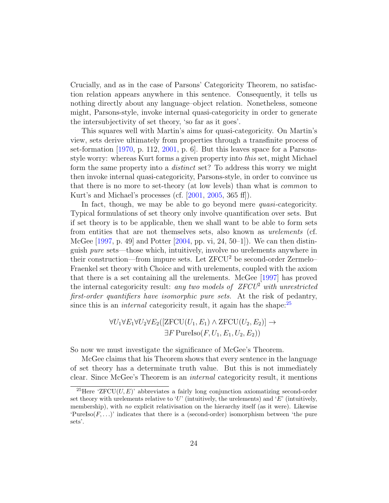Crucially, and as in the case of Parsons' Categoricity Theorem, no satisfaction relation appears anywhere in this sentence. Consequently, it tells us nothing directly about any language–object relation. Nonetheless, someone might, Parsons-style, invoke internal quasi-categoricity in order to generate the intersubjectivity of set theory, 'so far as it goes'.

This squares well with Martin's aims for quasi-categoricity. On Martin's view, sets derive ultimately from properties through a transfinite process of set-formation [\[1970,](#page-29-14) p. 112, [2001,](#page-29-15) p. 6]. But this leaves space for a Parsonsstyle worry: whereas Kurt forms a given property into this set, might Michael form the same property into a distinct set? To address this worry we might then invoke internal quasi-categoricity, Parsons-style, in order to convince us that there is no more to set-theory (at low levels) than what is common to Kurt's and Michael's processes (cf. [\[2001,](#page-29-15) [2005,](#page-29-16) 365 ff]).

In fact, though, we may be able to go beyond mere *quasi*-categoricity. Typical formulations of set theory only involve quantification over sets. But if set theory is to be applicable, then we shall want to be able to form sets from entities that are not themselves sets, also known as urelements (cf. McGee [\[1997,](#page-29-2) p. 49] and Potter [\[2004,](#page-30-15) pp. vi, 24, 50–1]). We can then distinguish pure sets—those which, intuitively, involve no urelements anywhere in their construction—from impure sets. Let  $ZFCU^2$  be second-order Zermelo-Fraenkel set theory with Choice and with urelements, coupled with the axiom that there is a set containing all the urelements. McGee [\[1997\]](#page-29-2) has proved the internal categoricity result: any two models of  $ZFCU^2$  with unrestricted first-order quantifiers have isomorphic pure sets. At the risk of pedantry, since this is an *internal* categoricity result, it again has the shape: $^{25}$  $^{25}$  $^{25}$ 

$$
\forall U_1 \forall E_1 \forall U_2 \forall E_2 ([\text{ZFCU}(U_1, E_1) \land \text{ZFCU}(U_2, E_2)] \rightarrow
$$
  

$$
\exists F \text{PureIso}(F, U_1, E_1, U_2, E_2))
$$

So now we must investigate the significance of McGee's Theorem.

McGee claims that his Theorem shows that every sentence in the language of set theory has a determinate truth value. But this is not immediately clear. Since McGee's Theorem is an internal categoricity result, it mentions

<span id="page-23-0"></span><sup>&</sup>lt;sup>25</sup>Here 'ZFCU( $U, E$ )' abbreviates a fairly long conjunction axiomatizing second-order set theory with urelements relative to 'U' (intuitively, the urelements) and 'E' (intuitively, membership), with no explicit relativisation on the hierarchy itself (as it were). Likewise 'PureIso( $F, \ldots$ )' indicates that there is a (second-order) isomorphism between 'the pure sets'.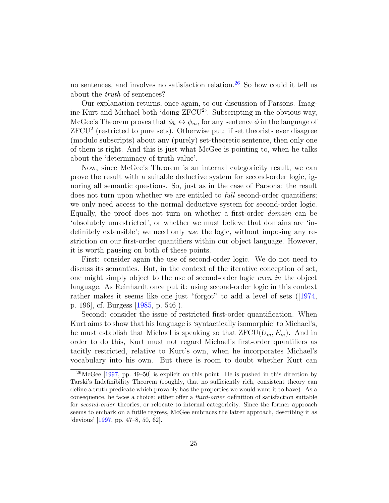no sentences, and involves no satisfaction relation.<sup>[26](#page-24-0)</sup> So how could it tell us about the truth of sentences?

Our explanation returns, once again, to our discussion of Parsons. Imagine Kurt and Michael both 'doing  $ZFCU^2$ '. Subscripting in the obvious way, McGee's Theorem proves that  $\phi_k \leftrightarrow \phi_m$ , for any sentence  $\phi$  in the language of  $ZFCU<sup>2</sup>$  (restricted to pure sets). Otherwise put: if set theorists ever disagree (modulo subscripts) about any (purely) set-theoretic sentence, then only one of them is right. And this is just what McGee is pointing to, when he talks about the 'determinacy of truth value'.

Now, since McGee's Theorem is an internal categoricity result, we can prove the result with a suitable deductive system for second-order logic, ignoring all semantic questions. So, just as in the case of Parsons: the result does not turn upon whether we are entitled to *full* second-order quantifiers; we only need access to the normal deductive system for second-order logic. Equally, the proof does not turn on whether a first-order domain can be 'absolutely unrestricted', or whether we must believe that domains are 'indefinitely extensible'; we need only use the logic, without imposing any restriction on our first-order quantifiers within our object language. However, it is worth pausing on both of these points.

First: consider again the use of second-order logic. We do not need to discuss its semantics. But, in the context of the iterative conception of set, one might simply object to the use of second-order logic even in the object language. As Reinhardt once put it: using second-order logic in this context rather makes it seems like one just "forgot" to add a level of sets ([\[1974,](#page-30-16) p. 196], cf. Burgess [\[1985,](#page-27-17) p. 546]).

Second: consider the issue of restricted first-order quantification. When Kurt aims to show that his language is 'syntactically isomorphic' to Michael's, he must establish that Michael is speaking so that  $ZFCU(U_m, E_m)$ . And in order to do this, Kurt must not regard Michael's first-order quantifiers as tacitly restricted, relative to Kurt's own, when he incorporates Michael's vocabulary into his own. But there is room to doubt whether Kurt can

<span id="page-24-0"></span> $26\text{McGee}$  [\[1997,](#page-29-2) pp. 49–50] is explicit on this point. He is pushed in this direction by Tarski's Indefinibility Theorem (roughly, that no sufficiently rich, consistent theory can define a truth predicate which provably has the properties we would want it to have). As a consequence, he faces a choice: either offer a third-order definition of satisfaction suitable for second-order theories, or relocate to internal categoricity. Since the former approach seems to embark on a futile regress, McGee embraces the latter approach, describing it as 'devious' [\[1997,](#page-29-2) pp. 47–8, 50, 62].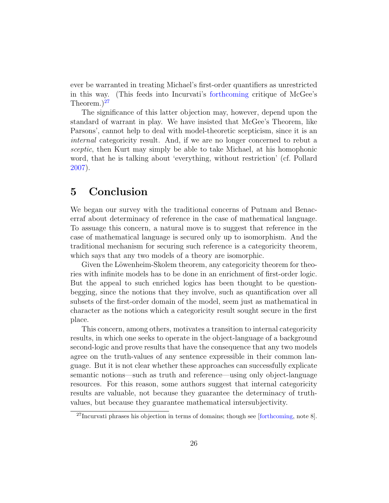ever be warranted in treating Michael's first-order quantifiers as unrestricted in this way. (This feeds into Incurvati's [forthcoming](#page-28-18) critique of McGee's Theorem.) $27$ 

The significance of this latter objection may, however, depend upon the standard of warrant in play. We have insisted that McGee's Theorem, like Parsons', cannot help to deal with model-theoretic scepticism, since it is an internal categoricity result. And, if we are no longer concerned to rebut a sceptic, then Kurt may simply be able to take Michael, at his homophonic word, that he is talking about 'everything, without restriction' (cf. Pollard [2007\)](#page-30-14).

### 5 Conclusion

We began our survey with the traditional concerns of Putnam and Benacerraf about determinacy of reference in the case of mathematical language. To assuage this concern, a natural move is to suggest that reference in the case of mathematical language is secured only up to isomorphism. And the traditional mechanism for securing such reference is a categoricity theorem, which says that any two models of a theory are isomorphic.

Given the Löwenheim-Skolem theorem, any categoricity theorem for theories with infinite models has to be done in an enrichment of first-order logic. But the appeal to such enriched logics has been thought to be questionbegging, since the notions that they involve, such as quantification over all subsets of the first-order domain of the model, seem just as mathematical in character as the notions which a categoricity result sought secure in the first place.

This concern, among others, motivates a transition to internal categoricity results, in which one seeks to operate in the object-language of a background second-logic and prove results that have the consequence that any two models agree on the truth-values of any sentence expressible in their common language. But it is not clear whether these approaches can successfully explicate semantic notions—such as truth and reference—using only object-language resources. For this reason, some authors suggest that internal categoricity results are valuable, not because they guarantee the determinacy of truthvalues, but because they guarantee mathematical intersubjectivity.

<span id="page-25-0"></span> $^{27}$ Incurvati phrases his objection in terms of domains; though see [\[forthcoming,](#page-28-18) note 8].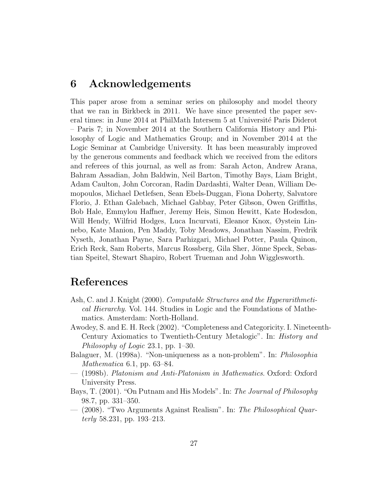### 6 Acknowledgements

This paper arose from a seminar series on philosophy and model theory that we ran in Birkbeck in 2011. We have since presented the paper several times: in June 2014 at PhilMath Intersem 5 at Université Paris Diderot – Paris 7; in November 2014 at the Southern California History and Philosophy of Logic and Mathematics Group; and in November 2014 at the Logic Seminar at Cambridge University. It has been measurably improved by the generous comments and feedback which we received from the editors and referees of this journal, as well as from: Sarah Acton, Andrew Arana, Bahram Assadian, John Baldwin, Neil Barton, Timothy Bays, Liam Bright, Adam Caulton, John Corcoran, Radin Dardashti, Walter Dean, William Demopoulos, Michael Detlefsen, Sean Ebels-Duggan, Fiona Doherty, Salvatore Florio, J. Ethan Galebach, Michael Gabbay, Peter Gibson, Owen Griffiths, Bob Hale, Emmylou Haffner, Jeremy Heis, Simon Hewitt, Kate Hodesdon, Will Hendy, Wilfrid Hodges, Luca Incurvati, Eleanor Knox, Øystein Linnebo, Kate Manion, Pen Maddy, Toby Meadows, Jonathan Nassim, Fredrik Nyseth, Jonathan Payne, Sara Parhizgari, Michael Potter, Paula Quinon, Erich Reck, Sam Roberts, Marcus Rossberg, Gila Sher, Jönne Speck, Sebastian Speitel, Stewart Shapiro, Robert Trueman and John Wigglesworth.

### References

- <span id="page-26-5"></span>Ash, C. and J. Knight (2000). Computable Structures and the Hyperarithmetical Hierarchy. Vol. 144. Studies in Logic and the Foundations of Mathematics. Amsterdam: North-Holland.
- <span id="page-26-4"></span>Awodey, S. and E. H. Reck (2002). "Completeness and Categoricity. I. Nineteenth-Century Axiomatics to Twentieth-Century Metalogic". In: History and Philosophy of Logic 23.1, pp. 1–30.
- <span id="page-26-3"></span>Balaguer, M. (1998a). "Non-uniqueness as a non-problem". In: Philosophia Mathematica 6.1, pp. 63–84.
- <span id="page-26-2"></span>— (1998b). Platonism and Anti-Platonism in Mathematics. Oxford: Oxford University Press.
- <span id="page-26-0"></span>Bays, T. (2001). "On Putnam and His Models". In: The Journal of Philosophy 98.7, pp. 331–350.
- <span id="page-26-1"></span>— (2008). "Two Arguments Against Realism". In: The Philosophical Quarterly 58.231, pp. 193–213.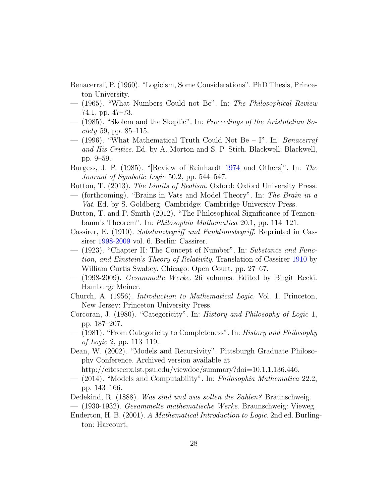- <span id="page-27-2"></span>Benacerraf, P. (1960). "Logicism, Some Considerations". PhD Thesis, Princeton University.
- <span id="page-27-1"></span>— (1965). "What Numbers Could not Be". In: The Philosophical Review 74.1, pp. 47–73.
- <span id="page-27-15"></span>— (1985). "Skolem and the Skeptic". In: Proceedings of the Aristotelian So*ciety* 59, pp. 85–115.
- <span id="page-27-3"></span>— (1996). "What Mathematical Truth Could Not Be – I". In: Benacerraf and His Critics. Ed. by A. Morton and S. P. Stich. Blackwell: Blackwell, pp. 9–59.
- <span id="page-27-17"></span>Burgess, J. P. (1985). "[Review of Reinhardt [1974](#page-30-16) and Others]". In: The Journal of Symbolic Logic 50.2, pp. 544–547.
- <span id="page-27-0"></span>Button, T. (2013). The Limits of Realism. Oxford: Oxford University Press.
- <span id="page-27-14"></span>— (forthcoming). "Brains in Vats and Model Theory". In: The Brain in a Vat. Ed. by S. Goldberg. Cambridge: Cambridge University Press.
- <span id="page-27-13"></span>Button, T. and P. Smith (2012). "The Philosophical Significance of Tennenbaum's Theorem". In: Philosophia Mathematica 20.1, pp. 114–121.
- <span id="page-27-5"></span>Cassirer, E. (1910). Substanzbegriff und Funktionsbegriff. Reprinted in Cassirer [1998-2009](#page-27-18) vol. 6. Berlin: Cassirer.
- <span id="page-27-4"></span>— (1923). "Chapter II: The Concept of Number". In: Substance and Function, and Einstein's Theory of Relativity. Translation of Cassirer [1910](#page-27-5) by William Curtis Swabey. Chicago: Open Court, pp. 27–67.
- <span id="page-27-18"></span> $-$  (1998-2009). Gesammelte Werke. 26 volumes. Edited by Birgit Recki. Hamburg: Meiner.
- <span id="page-27-16"></span>Church, A. (1956). Introduction to Mathematical Logic. Vol. 1. Princeton, New Jersey: Princeton University Press.
- <span id="page-27-7"></span>Corcoran, J. (1980). "Categoricity". In: History and Philosophy of Logic 1, pp. 187–207.
- <span id="page-27-8"></span>— (1981). "From Categoricity to Completeness". In: History and Philosophy of Logic 2, pp. 113–119.
- <span id="page-27-11"></span>Dean, W. (2002). "Models and Recursivity". Pittsburgh Graduate Philosophy Conference. Archived version available at

http://citeseerx.ist.psu.edu/viewdoc/summary?doi=10.1.1.136.446.

- <span id="page-27-12"></span>— (2014). "Models and Computability". In: Philosophia Mathematica 22.2, pp. 143–166.
- <span id="page-27-6"></span>Dedekind, R. (1888). Was sind und was sollen die Zahlen? Braunschweig.
- <span id="page-27-9"></span>— (1930-1932). Gesammelte mathematische Werke. Braunschweig: Vieweg.
- <span id="page-27-10"></span>Enderton, H. B. (2001). A Mathematical Introduction to Logic. 2nd ed. Burlington: Harcourt.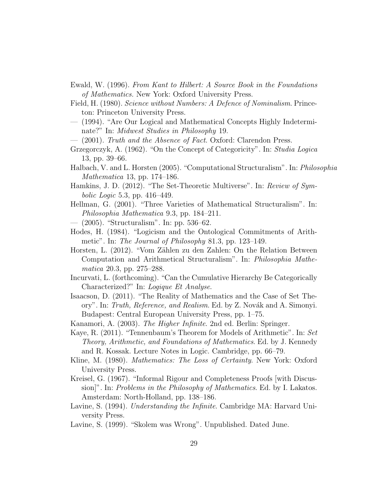- <span id="page-28-5"></span>Ewald, W. (1996). From Kant to Hilbert: A Source Book in the Foundations of Mathematics. New York: Oxford University Press.
- <span id="page-28-10"></span>Field, H. (1980). Science without Numbers: A Defence of Nominalism. Princeton: Princeton University Press.
- <span id="page-28-6"></span>— (1994). "Are Our Logical and Mathematical Concepts Highly Indeterminate?" In: *Midwest Studies in Philosophy* 19.
- <span id="page-28-7"></span> $-$  (2001). Truth and the Absence of Fact. Oxford: Clarendon Press.
- <span id="page-28-0"></span>Grzegorczyk, A. (1962). "On the Concept of Categoricity". In: Studia Logica 13, pp. 39–66.
- <span id="page-28-12"></span>Halbach, V. and L. Horsten (2005). "Computational Structuralism". In: Philosophia Mathematica 13, pp. 174–186.
- <span id="page-28-17"></span>Hamkins, J. D. (2012). "The Set-Theoretic Multiverse". In: Review of Symbolic Logic 5.3, pp. 416–449.
- <span id="page-28-3"></span>Hellman, G. (2001). "Three Varieties of Mathematical Structuralism". In: Philosophia Mathematica 9.3, pp. 184–211.
- <span id="page-28-4"></span>— (2005). "Structuralism". In: pp. 536–62.
- <span id="page-28-2"></span>Hodes, H. (1984). "Logicism and the Ontological Commitments of Arithmetic". In: The Journal of Philosophy 81.3, pp. 123–149.
- <span id="page-28-13"></span>Horsten, L. (2012). "Vom Zählen zu den Zahlen: On the Relation Between Computation and Arithmetical Structuralism". In: Philosophia Mathematica 20.3, pp. 275–288.
- <span id="page-28-18"></span>Incurvati, L. (forthcoming). "Can the Cumulative Hierarchy Be Categorically Characterized?" In: Logique Et Analyse.
- <span id="page-28-15"></span>Isaacson, D. (2011). "The Reality of Mathematics and the Case of Set Theory". In: Truth, Reference, and Realism. Ed. by Z. Novák and A. Simonyi. Budapest: Central European University Press, pp. 1–75.
- <span id="page-28-16"></span>Kanamori, A. (2003). The Higher Infinite. 2nd ed. Berlin: Springer.
- <span id="page-28-11"></span>Kaye, R. (2011). "Tennenbaum's Theorem for Models of Arithmetic". In: Set Theory, Arithmetic, and Foundations of Mathematics. Ed. by J. Kennedy and R. Kossak. Lecture Notes in Logic. Cambridge, pp. 66–79.
- <span id="page-28-1"></span>Kline, M. (1980). *Mathematics: The Loss of Certainty*. New York: Oxford University Press.
- <span id="page-28-14"></span>Kreisel, G. (1967). "Informal Rigour and Completeness Proofs [with Discussion]". In: *Problems in the Philosophy of Mathematics*. Ed. by I. Lakatos. Amsterdam: North-Holland, pp. 138–186.
- <span id="page-28-8"></span>Lavine, S. (1994). Understanding the Infinite. Cambridge MA: Harvard University Press.
- <span id="page-28-9"></span>Lavine, S. (1999). "Skolem was Wrong". Unpublished. Dated June.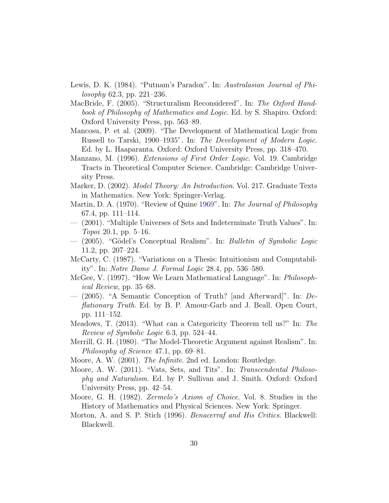- <span id="page-29-1"></span>Lewis, D. K. (1984). "Putnam's Paradox". In: Australasian Journal of Philosophy 62.3, pp. 221–236.
- <span id="page-29-3"></span>MacBride, F. (2005). "Structuralism Reconsidered". In: The Oxford Handbook of Philosophy of Mathematics and Logic. Ed. by S. Shapiro. Oxford: Oxford University Press, pp. 563–89.
- <span id="page-29-6"></span>Mancosu, P. et al. (2009). "The Development of Mathematical Logic from Russell to Tarski, 1900–1935". In: The Development of Modern Logic. Ed. by L. Haaparanta. Oxford: Oxford University Press, pp. 318–470.
- <span id="page-29-9"></span>Manzano, M. (1996). Extensions of First Order Logic. Vol. 19. Cambridge Tracts in Theoretical Computer Science. Cambridge: Cambridge University Press.
- <span id="page-29-7"></span>Marker, D. (2002). Model Theory: An Introduction. Vol. 217. Graduate Texts in Mathematics. New York: Springer-Verlag.
- <span id="page-29-14"></span>Martin, D. A. (1970). "Review of Quine [1969"](#page-30-17). In: The Journal of Philosophy 67.4, pp. 111–114.
- <span id="page-29-15"></span>— (2001). "Multiple Universes of Sets and Indeterminate Truth Values". In: Topoi 20.1, pp. 5–16.
- <span id="page-29-16"></span> $-$  (2005). "Gödel's Conceptual Realism". In: Bulletin of Symbolic Logic 11.2, pp. 207–224.
- <span id="page-29-10"></span>McCarty, C. (1987). "Variations on a Thesis: Intuitionism and Computability". In: Notre Dame J. Formal Logic 28.4, pp. 536–580.
- <span id="page-29-2"></span>McGee, V. (1997). "How We Learn Mathematical Language". In: Philosophical Review, pp. 35–68.
- <span id="page-29-4"></span>— (2005). "A Semantic Conception of Truth? [and Afterward]". In: Deflationary Truth. Ed. by B. P. Amour-Garb and J. Beall. Open Court, pp. 111–152.
- <span id="page-29-8"></span>Meadows, T. (2013). "What can a Categoricity Theorem tell us?" In: The Review of Symbolic Logic 6.3, pp. 524–44.
- <span id="page-29-0"></span>Merrill, G. H. (1980). "The Model-Theoretic Argument against Realism". In: Philosophy of Science 47.1, pp. 69–81.
- <span id="page-29-11"></span>Moore, A. W. (2001). The Infinite. 2nd ed. London: Routledge.
- <span id="page-29-12"></span>Moore, A. W. (2011). "Vats, Sets, and Tits". In: Transcendental Philosophy and Naturalism. Ed. by P. Sullivan and J. Smith. Oxford: Oxford University Press, pp. 42–54.
- <span id="page-29-13"></span>Moore, G. H. (1982). Zermelo's Axiom of Choice. Vol. 8. Studies in the History of Mathematics and Physical Sciences. New York: Springer.
- <span id="page-29-5"></span>Morton, A. and S. P. Stich (1996). Benacerraf and His Critics. Blackwell: Blackwell.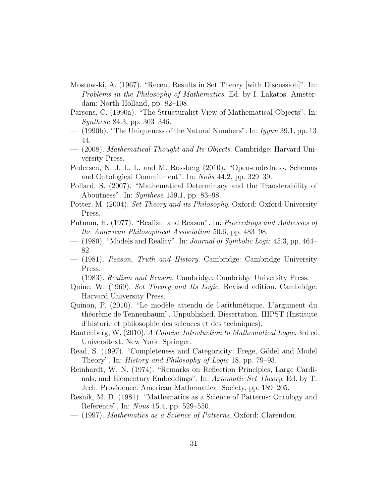- <span id="page-30-12"></span>Mostowski, A. (1967). "Recent Results in Set Theory [with Discussion]". In: Problems in the Philosophy of Mathematics. Ed. by I. Lakatos. Amsterdam: North-Holland, pp. 82–108.
- <span id="page-30-13"></span>Parsons, C. (1990a). "The Structuralist View of Mathematical Objects". In: Synthese 84.3, pp. 303–346.
- <span id="page-30-7"></span>— (1990b). "The Uniqueness of the Natural Numbers". In:  $Iyyun$  39.1, pp. 13– 44.
- <span id="page-30-8"></span>— (2008). Mathematical Thought and Its Objects. Cambridge: Harvard University Press.
- <span id="page-30-9"></span>Pedersen, N. J. L. L. and M. Rossberg (2010). "Open-endedness, Schemas and Ontological Commitment". In: Noûs 44.2, pp. 329–39.
- <span id="page-30-14"></span>Pollard, S. (2007). "Mathematical Determinacy and the Transferability of Aboutness". In: Synthese 159.1, pp. 83–98.
- <span id="page-30-15"></span>Potter, M. (2004). Set Theory and its Philosophy. Oxford: Oxford University Press.
- <span id="page-30-2"></span>Putnam, H. (1977). "Realism and Reason". In: *Proceedings and Addresses of* the American Philosophical Association 50.6, pp. 483–98.
- <span id="page-30-3"></span> $-$  (1980). "Models and Reality". In: *Journal of Symbolic Logic* 45.3, pp. 464– 82.
- <span id="page-30-4"></span>— (1981). Reason, Truth and History. Cambridge: Cambridge University Press.
- <span id="page-30-5"></span>— (1983). Realism and Reason. Cambridge: Cambridge University Press.
- <span id="page-30-17"></span>Quine, W. (1969). Set Theory and Its Logic. Revised edition. Cambridge: Harvard University Press.
- <span id="page-30-11"></span>Quinon, P. (2010). "Le modèle attendu de l'arithmétique. L'argument du théorème de Tennenbaum". Unpublished. Dissertation. IHPST (Institute d'historie et philosophie des sciences et des techniques).
- <span id="page-30-6"></span>Rautenberg, W. (2010). A Concise Introduction to Mathematical Logic. 3rd ed. Universitext. New York: Springer.
- <span id="page-30-10"></span>Read, S. (1997). "Completeness and Categoricity: Frege, Gödel and Model Theory". In: History and Philosophy of Logic 18, pp. 79–93.
- <span id="page-30-16"></span>Reinhardt, W. N. (1974). "Remarks on Reflection Principles, Large Cardinals, and Elementary Embeddings". In: Axiomatic Set Theory. Ed. by T. Jech. Providence: American Mathematical Society, pp. 189–205.
- <span id="page-30-0"></span>Resnik, M. D. (1981). "Mathematics as a Science of Patterns: Ontology and Reference". In: Nous 15.4, pp. 529–550.
- <span id="page-30-1"></span>— (1997). Mathematics as a Science of Patterns. Oxford: Clarendon.